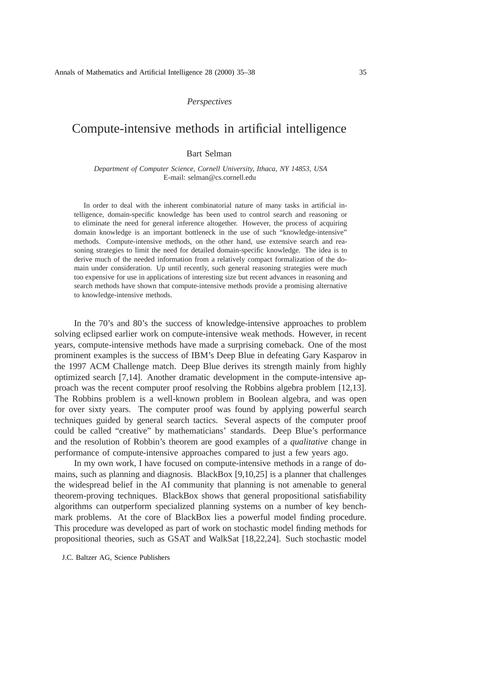## *Perspectives*

## Compute-intensive methods in artificial intelligence

## Bart Selman

*Department of Computer Science, Cornell University, Ithaca, NY 14853, USA* E-mail: selman@cs.cornell.edu

In order to deal with the inherent combinatorial nature of many tasks in artificial intelligence, domain-specific knowledge has been used to control search and reasoning or to eliminate the need for general inference altogether. However, the process of acquiring domain knowledge is an important bottleneck in the use of such "knowledge-intensive" methods. Compute-intensive methods, on the other hand, use extensive search and reasoning strategies to limit the need for detailed domain-specific knowledge. The idea is to derive much of the needed information from a relatively compact formalization of the domain under consideration. Up until recently, such general reasoning strategies were much too expensive for use in applications of interesting size but recent advances in reasoning and search methods have shown that compute-intensive methods provide a promising alternative to knowledge-intensive methods.

In the 70's and 80's the success of knowledge-intensive approaches to problem solving eclipsed earlier work on compute-intensive weak methods. However, in recent years, compute-intensive methods have made a surprising comeback. One of the most prominent examples is the success of IBM's Deep Blue in defeating Gary Kasparov in the 1997 ACM Challenge match. Deep Blue derives its strength mainly from highly optimized search [7,14]. Another dramatic development in the compute-intensive approach was the recent computer proof resolving the Robbins algebra problem [12,13]. The Robbins problem is a well-known problem in Boolean algebra, and was open for over sixty years. The computer proof was found by applying powerful search techniques guided by general search tactics. Several aspects of the computer proof could be called "creative" by mathematicians' standards. Deep Blue's performance and the resolution of Robbin's theorem are good examples of a *qualitative* change in performance of compute-intensive approaches compared to just a few years ago.

In my own work, I have focused on compute-intensive methods in a range of domains, such as planning and diagnosis. BlackBox [9,10,25] is a planner that challenges the widespread belief in the AI community that planning is not amenable to general theorem-proving techniques. BlackBox shows that general propositional satisfiability algorithms can outperform specialized planning systems on a number of key benchmark problems. At the core of BlackBox lies a powerful model finding procedure. This procedure was developed as part of work on stochastic model finding methods for propositional theories, such as GSAT and WalkSat [18,22,24]. Such stochastic model

J.C. Baltzer AG, Science Publishers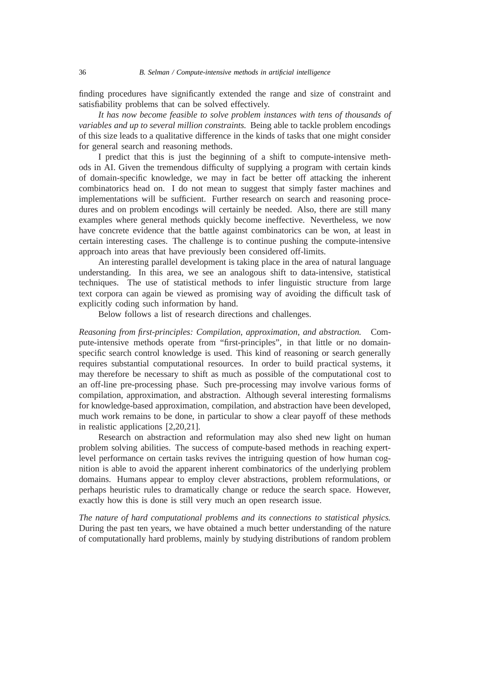finding procedures have significantly extended the range and size of constraint and satisfiability problems that can be solved effectively.

*It has now become feasible to solve problem instances with tens of thousands of variables and up to several million constraints.* Being able to tackle problem encodings of this size leads to a qualitative difference in the kinds of tasks that one might consider for general search and reasoning methods.

I predict that this is just the beginning of a shift to compute-intensive methods in AI. Given the tremendous difficulty of supplying a program with certain kinds of domain-specific knowledge, we may in fact be better off attacking the inherent combinatorics head on. I do not mean to suggest that simply faster machines and implementations will be sufficient. Further research on search and reasoning procedures and on problem encodings will certainly be needed. Also, there are still many examples where general methods quickly become ineffective. Nevertheless, we now have concrete evidence that the battle against combinatorics can be won, at least in certain interesting cases. The challenge is to continue pushing the compute-intensive approach into areas that have previously been considered off-limits.

An interesting parallel development is taking place in the area of natural language understanding. In this area, we see an analogous shift to data-intensive, statistical techniques. The use of statistical methods to infer linguistic structure from large text corpora can again be viewed as promising way of avoiding the difficult task of explicitly coding such information by hand.

Below follows a list of research directions and challenges.

*Reasoning from first-principles: Compilation, approximation, and abstraction.* Compute-intensive methods operate from "first-principles", in that little or no domainspecific search control knowledge is used. This kind of reasoning or search generally requires substantial computational resources. In order to build practical systems, it may therefore be necessary to shift as much as possible of the computational cost to an off-line pre-processing phase. Such pre-processing may involve various forms of compilation, approximation, and abstraction. Although several interesting formalisms for knowledge-based approximation, compilation, and abstraction have been developed, much work remains to be done, in particular to show a clear payoff of these methods in realistic applications [2,20,21].

Research on abstraction and reformulation may also shed new light on human problem solving abilities. The success of compute-based methods in reaching expertlevel performance on certain tasks revives the intriguing question of how human cognition is able to avoid the apparent inherent combinatorics of the underlying problem domains. Humans appear to employ clever abstractions, problem reformulations, or perhaps heuristic rules to dramatically change or reduce the search space. However, exactly how this is done is still very much an open research issue.

*The nature of hard computational problems and its connections to statistical physics.* During the past ten years, we have obtained a much better understanding of the nature of computationally hard problems, mainly by studying distributions of random problem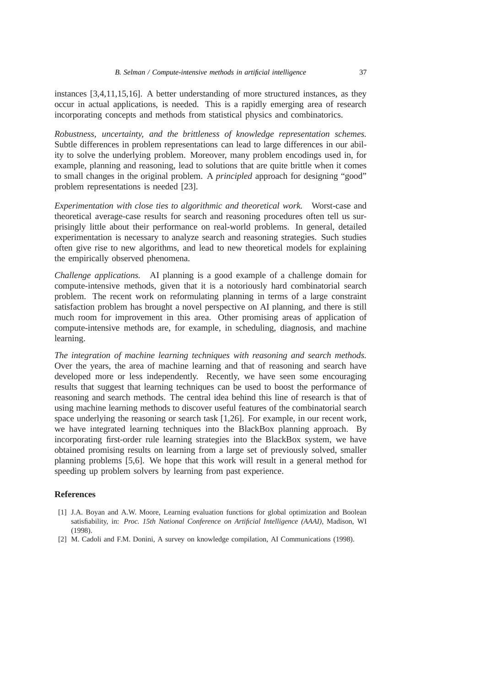instances [3,4,11,15,16]. A better understanding of more structured instances, as they occur in actual applications, is needed. This is a rapidly emerging area of research incorporating concepts and methods from statistical physics and combinatorics.

*Robustness, uncertainty, and the brittleness of knowledge representation schemes.* Subtle differences in problem representations can lead to large differences in our ability to solve the underlying problem. Moreover, many problem encodings used in, for example, planning and reasoning, lead to solutions that are quite brittle when it comes to small changes in the original problem. A *principled* approach for designing "good" problem representations is needed [23].

*Experimentation with close ties to algorithmic and theoretical work.* Worst-case and theoretical average-case results for search and reasoning procedures often tell us surprisingly little about their performance on real-world problems. In general, detailed experimentation is necessary to analyze search and reasoning strategies. Such studies often give rise to new algorithms, and lead to new theoretical models for explaining the empirically observed phenomena.

*Challenge applications.* AI planning is a good example of a challenge domain for compute-intensive methods, given that it is a notoriously hard combinatorial search problem. The recent work on reformulating planning in terms of a large constraint satisfaction problem has brought a novel perspective on AI planning, and there is still much room for improvement in this area. Other promising areas of application of compute-intensive methods are, for example, in scheduling, diagnosis, and machine learning.

*The integration of machine learning techniques with reasoning and search methods.* Over the years, the area of machine learning and that of reasoning and search have developed more or less independently. Recently, we have seen some encouraging results that suggest that learning techniques can be used to boost the performance of reasoning and search methods. The central idea behind this line of research is that of using machine learning methods to discover useful features of the combinatorial search space underlying the reasoning or search task [1,26]. For example, in our recent work, we have integrated learning techniques into the BlackBox planning approach. By incorporating first-order rule learning strategies into the BlackBox system, we have obtained promising results on learning from a large set of previously solved, smaller planning problems [5,6]. We hope that this work will result in a general method for speeding up problem solvers by learning from past experience.

## **References**

- [1] J.A. Boyan and A.W. Moore, Learning evaluation functions for global optimization and Boolean satisfiability, in: *Proc. 15th National Conference on Artificial Intelligence (AAAI)*, Madison, WI (1998).
- [2] M. Cadoli and F.M. Donini, A survey on knowledge compilation, AI Communications (1998).